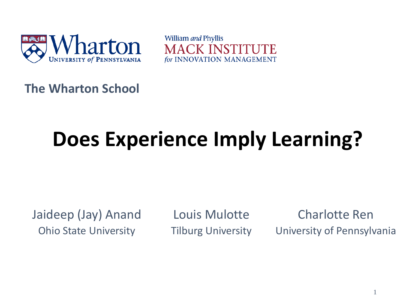

William and Phyllis MACK INSTITI for INNOVATION MANAGEMENT

**The Wharton School**

# **Does Experience Imply Learning?**

Jaideep (Jay) Anand Ohio State University

Louis Mulotte Tilburg University

Charlotte Ren University of Pennsylvania

1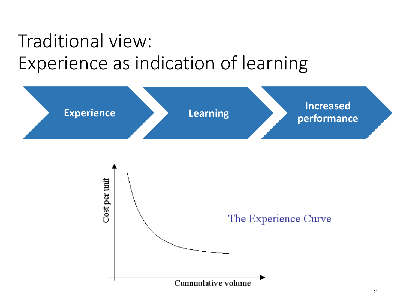## Traditional view: Experience as indication of learning

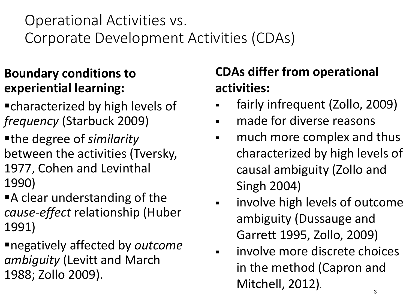Operational Activities vs. Corporate Development Activities (CDAs)

### **Boundary conditions to experiential learning:**

- characterized by high levels of *frequency* (Starbuck 2009)
- the degree of *similarity* between the activities (Tversky, 1977, Cohen and Levinthal 1990)
- **A** clear understanding of the *cause-effect* relationship (Huber 1991)
- negatively affected by *outcome ambiguity* (Levitt and March 1988; Zollo 2009).

### **CDAs differ from operational activities:**

- fairly infrequent (Zollo, 2009)
- made for diverse reasons
- much more complex and thus characterized by high levels of causal ambiguity (Zollo and Singh 2004)
- involve high levels of outcome ambiguity (Dussauge and Garrett 1995, Zollo, 2009)
- 3 involve more discrete choices in the method (Capron and Mitchell, 2012).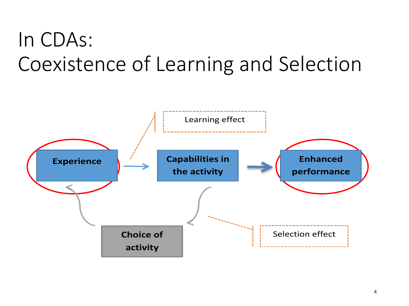# In CDAs: Coexistence of Learning and Selection

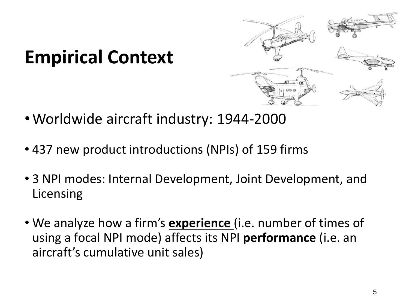### **Empirical Context**



- •Worldwide aircraft industry: 1944-2000
- 437 new product introductions (NPIs) of 159 firms
- 3 NPI modes: Internal Development, Joint Development, and Licensing
- We analyze how a firm's **experience** (i.e. number of times of using a focal NPI mode) affects its NPI **performance** (i.e. an aircraft's cumulative unit sales)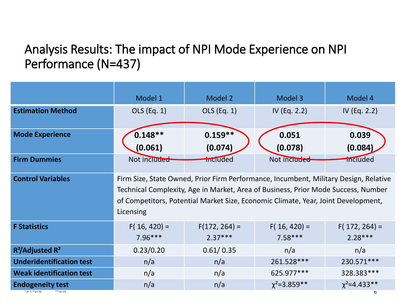#### Analysis Results: The impact of NPI Mode Experience on NPI Performance (N=437)

|                                                                 | Model 1                                                                                                                                                                                                                                                                     | Model 2                      | Model 3                     | Model 4                      |
|-----------------------------------------------------------------|-----------------------------------------------------------------------------------------------------------------------------------------------------------------------------------------------------------------------------------------------------------------------------|------------------------------|-----------------------------|------------------------------|
| <b>Estimation Method</b>                                        | OLS (Eq. 1)                                                                                                                                                                                                                                                                 | OLS (Eq. 1)                  | IV (Eq. 2.2)                | IV (Eq. 2.2)                 |
| <b>Mode Experience</b>                                          | $0.148**$<br>(0.061)                                                                                                                                                                                                                                                        | $0.159**$<br>(0.074)         | 0.051<br>(0.078)            | 0.039<br>(0.084)             |
| <b>Firm Dummies</b>                                             | Not included                                                                                                                                                                                                                                                                | <b>Included</b>              | Not included                | included                     |
| <b>Control Variables</b>                                        | Firm Size, State Owned, Prior Firm Performance, Incumbent, Military Design, Relative<br>Technical Complexity, Age in Market, Area of Business, Prior Mode Success, Number<br>of Competitors, Potential Market Size, Economic Climate, Year, Joint Development,<br>Licensing |                              |                             |                              |
| <b>F Statistics</b>                                             | $F(16, 420) =$<br>$7.96***$                                                                                                                                                                                                                                                 | $F(172, 264) =$<br>$2.37***$ | $F(16, 420) =$<br>$7.58***$ | $F(172, 264) =$<br>$2.28***$ |
| R <sup>2</sup> /Adjusted R <sup>2</sup>                         | 0.23/0.20                                                                                                                                                                                                                                                                   | 0.61/0.35                    | n/a                         | n/a                          |
| <b>Underidentification test</b>                                 | n/a                                                                                                                                                                                                                                                                         | n/a                          | 261.528***                  | 230.571***                   |
| <b>Weak identification test</b>                                 | n/a                                                                                                                                                                                                                                                                         | n/a                          | 625.977***                  | 328.383***                   |
| <b>Endogeneity test</b><br>* p <. $1$ * * p <. 05<br>$***p<.01$ | n/a                                                                                                                                                                                                                                                                         | n/a                          | $\chi^2$ =3.859**           | $\chi^2$ =4.433**<br>6       |